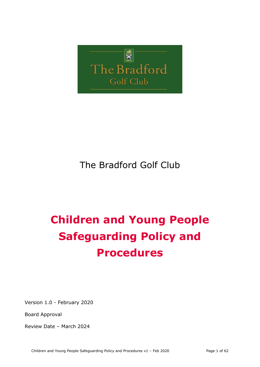

# The Bradford Golf Club

# **Children and Young People Safeguarding Policy and Procedures**

Version 1.0 - February 2020

Board Approval

Review Date – March 2024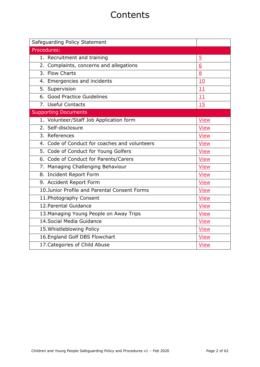# **Contents**

| Safeguarding Policy Statement                 |                  |
|-----------------------------------------------|------------------|
| Procedures:                                   |                  |
| 1. Recruitment and training                   | $\overline{5}$   |
| 2. Complaints, concerns and allegations       | $6 \overline{6}$ |
| 3. Flow Charts                                | 8                |
| 4. Emergencies and incidents                  | 10               |
| 5. Supervision                                | 11               |
| 6. Good Practice Guidelines                   | 11               |
| 7. Useful Contacts                            | 15               |
| <b>Supporting Documents</b>                   |                  |
| 1. Volunteer/Staff Job Application form       | <b>View</b>      |
| 2. Self-disclosure                            | <b>View</b>      |
| 3. References                                 | <b>View</b>      |
| 4. Code of Conduct for coaches and volunteers | <b>View</b>      |
| 5. Code of Conduct for Young Golfers          | <b>View</b>      |
| 6. Code of Conduct for Parents/Carers         | <b>View</b>      |
| 7. Managing Challenging Behaviour             | <b>View</b>      |
| 8. Incident Report Form                       | <b>View</b>      |
| 9. Accident Report Form                       | <b>View</b>      |
| 10.Junior Profile and Parental Consent Forms  | <b>View</b>      |
| 11. Photography Consent                       | <b>View</b>      |
| 12. Parental Guidance                         | <b>View</b>      |
| 13. Managing Young People on Away Trips       | <b>View</b>      |
| 14. Social Media Guidance                     | <b>View</b>      |
| 15. Whistleblowing Policy                     | <b>View</b>      |
| 16. England Golf DBS Flowchart                | <b>View</b>      |
| 17. Categories of Child Abuse                 | <b>View</b>      |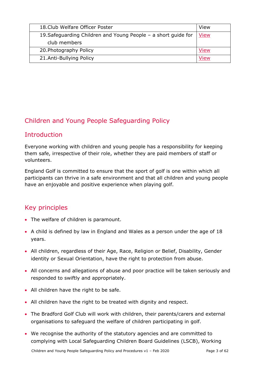| 18. Club Welfare Officer Poster                                | View        |
|----------------------------------------------------------------|-------------|
| 19. Safeguarding Children and Young People - a short guide for | <u>View</u> |
| club members                                                   |             |
| 20. Photography Policy                                         | View        |
| 21.Anti-Bullying Policy                                        | /iew        |

# Children and Young People Safeguarding Policy

# **Introduction**

Everyone working with children and young people has a responsibility for keeping them safe, irrespective of their role, whether they are paid members of staff or volunteers.

England Golf is committed to ensure that the sport of golf is one within which all participants can thrive in a safe environment and that all children and young people have an enjoyable and positive experience when playing golf.

# Key principles

- The welfare of children is paramount.
- A child is defined by law in England and Wales as a person under the age of 18 years.
- All children, regardless of their Age, Race, Religion or Belief, Disability, Gender identity or Sexual Orientation, have the right to protection from abuse.
- All concerns and allegations of abuse and poor practice will be taken seriously and responded to swiftly and appropriately.
- All children have the right to be safe.
- All children have the right to be treated with dignity and respect.
- The Bradford Golf Club will work with children, their parents/carers and external organisations to safeguard the welfare of children participating in golf.
- We recognise the authority of the statutory agencies and are committed to complying with Local Safeguarding Children Board Guidelines (LSCB), Working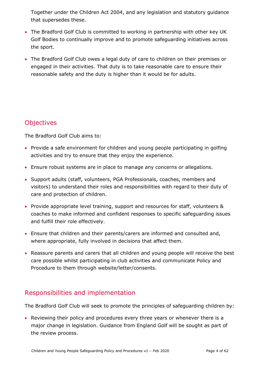Together under the Children Act 2004, and any legislation and statutory guidance that supersedes these.

- The Bradford Golf Club is committed to working in partnership with other key UK Golf Bodies to continually improve and to promote safeguarding initiatives across the sport.
- The Bradford Golf Club owes a legal duty of care to children on their premises or engaged in their activities. That duty is to take reasonable care to ensure their reasonable safety and the duty is higher than it would be for adults.

# **Objectives**

The Bradford Golf Club aims to:

- Provide a safe environment for children and young people participating in golfing activities and try to ensure that they enjoy the experience.
- Ensure robust systems are in place to manage any concerns or allegations.
- Support adults (staff, volunteers, PGA Professionals, coaches, members and visitors) to understand their roles and responsibilities with regard to their duty of care and protection of children.
- Provide appropriate level training, support and resources for staff, volunteers & coaches to make informed and confident responses to specific safeguarding issues and fulfill their role effectively.
- Ensure that children and their parents/carers are informed and consulted and, where appropriate, fully involved in decisions that affect them.
- Reassure parents and carers that all children and young people will receive the best care possible whilst participating in club activities and communicate Policy and Procedure to them through website/letter/consents.

# Responsibilities and implementation

The Bradford Golf Club will seek to promote the principles of safeguarding children by:

• Reviewing their policy and procedures every three years or whenever there is a major change in legislation. Guidance from England Golf will be sought as part of the review process.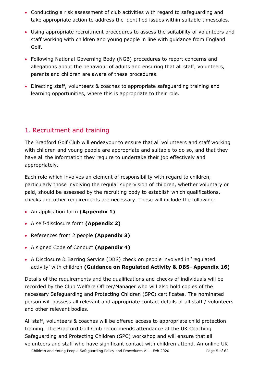- Conducting a risk assessment of club activities with regard to safeguarding and take appropriate action to address the identified issues within suitable timescales.
- Using appropriate recruitment procedures to assess the suitability of volunteers and staff working with children and young people in line with guidance from England Golf.
- Following National Governing Body (NGB) procedures to report concerns and allegations about the behaviour of adults and ensuring that all staff, volunteers, parents and children are aware of these procedures.
- Directing staff, volunteers & coaches to appropriate safeguarding training and learning opportunities, where this is appropriate to their role.

# <span id="page-4-0"></span>1. Recruitment and training

The Bradford Golf Club will endeavour to ensure that all volunteers and staff working with children and young people are appropriate and suitable to do so, and that they have all the information they require to undertake their job effectively and appropriately.

Each role which involves an element of responsibility with regard to children, particularly those involving the regular supervision of children, whether voluntary or paid, should be assessed by the recruiting body to establish which qualifications, checks and other requirements are necessary. These will include the following:

- An application form **(Appendix 1)**
- A self-disclosure form **(Appendix 2)**
- References from 2 people **(Appendix 3)**
- A signed Code of Conduct **(Appendix 4)**
- A Disclosure & Barring Service (DBS) check on people involved in 'regulated activity' with children **(Guidance on Regulated Activity & DBS- Appendix 16)**

Details of the requirements and the qualifications and checks of individuals will be recorded by the Club Welfare Officer/Manager who will also hold copies of the necessary Safeguarding and Protecting Children (SPC) certificates. The nominated person will possess all relevant and appropriate contact details of all staff / volunteers and other relevant bodies.

All staff, volunteers & coaches will be offered access to appropriate child protection training. The Bradford Golf Club recommends attendance at the UK Coaching Safeguarding and Protecting Children (SPC) workshop and will ensure that all volunteers and staff who have significant contact with children attend. An online UK

Children and Young People Safeguarding Policy and Procedures v1 - Feb 2020 Page 5 of 62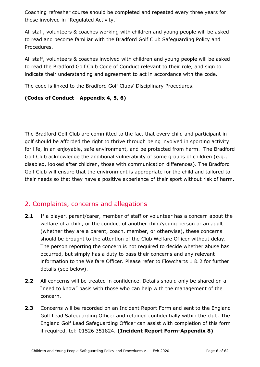Coaching refresher course should be completed and repeated every three years for those involved in "Regulated Activity."

All staff, volunteers & coaches working with children and young people will be asked to read and become familiar with the Bradford Golf Club Safeguarding Policy and Procedures.

All staff, volunteers & coaches involved with children and young people will be asked to read the Bradford Golf Club Code of Conduct relevant to their role, and sign to indicate their understanding and agreement to act in accordance with the code.

The code is linked to the Bradford Golf Clubs' Disciplinary Procedures.

#### **(Codes of Conduct - Appendix 4, 5, 6)**

The Bradford Golf Club are committed to the fact that every child and participant in golf should be afforded the right to thrive through being involved in sporting activity for life, in an enjoyable, safe environment, and be protected from harm. The Bradford Golf Club acknowledge the additional vulnerability of some groups of children (e.g., disabled, looked after children, those with communication differences). The Bradford Golf Club will ensure that the environment is appropriate for the child and tailored to their needs so that they have a positive experience of their sport without risk of harm.

# <span id="page-5-0"></span>2. Complaints, concerns and allegations

- **2.1** If a player, parent/carer, member of staff or volunteer has a concern about the welfare of a child, or the conduct of another child/young person or an adult (whether they are a parent, coach, member, or otherwise), these concerns should be brought to the attention of the Club Welfare Officer without delay. The person reporting the concern is not required to decide whether abuse has occurred, but simply has a duty to pass their concerns and any relevant information to the Welfare Officer. Please refer to Flowcharts 1 & 2 for further details (see below).
- **2.2** All concerns will be treated in confidence. Details should only be shared on a "need to know" basis with those who can help with the management of the concern.
- **2.3** Concerns will be recorded on an Incident Report Form and sent to the England Golf Lead Safeguarding Officer and retained confidentially within the club. The England Golf Lead Safeguarding Officer can assist with completion of this form if required, tel: 01526 351824. **(Incident Report Form-Appendix 8)**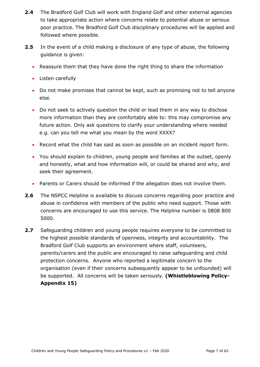- **2.4** The Bradford Golf Club will work with England Golf and other external agencies to take appropriate action where concerns relate to potential abuse or serious poor practice. The Bradford Golf Club disciplinary procedures will be applied and followed where possible.
- **2.5** In the event of a child making a disclosure of any type of abuse, the following guidance is given:
	- Reassure them that they have done the right thing to share the information
	- Listen carefully
	- Do not make promises that cannot be kept, such as promising not to tell anyone else.
	- Do not seek to actively question the child or lead them in any way to disclose more information than they are comfortably able to: this may compromise any future action. Only ask questions to clarify your understanding where needed e.g. can you tell me what you mean by the word XXXX?
	- Record what the child has said as soon as possible on an incident report form.
	- You should explain to children, young people and families at the outset, openly and honestly, what and how information will, or could be shared and why, and seek their agreement.
	- Parents or Carers should be informed if the allegation does not involve them.
- **2.6** The NSPCC Helpline is available to discuss concerns regarding poor practice and abuse in confidence with members of the public who need support. Those with concerns are encouraged to use this service. The Helpline number is 0808 800 5000.
- **2.7** Safeguarding children and young people requires everyone to be committed to the highest possible standards of openness, integrity and accountability. The Bradford Golf Club supports an environment where staff, volunteers, parents/carers and the public are encouraged to raise safeguarding and child protection concerns. Anyone who reported a legitimate concern to the organisation (even if their concerns subsequently appear to be unfounded) will be supported. All concerns will be taken seriously. **(Whistleblowing Policy-Appendix 15)**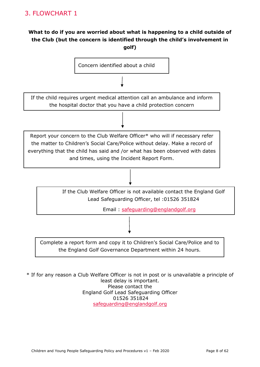# <span id="page-7-0"></span>**What to do if you are worried about what is happening to a child outside of the Club (but the concern is identified through the child's involvement in golf)**



\* If for any reason a Club Welfare Officer is not in post or is unavailable a principle of least delay is important. Please contact the England Golf Lead Safeguarding Officer 01526 351824 [safeguarding@englandgolf.org](mailto:safeguarding@englandgolf.org)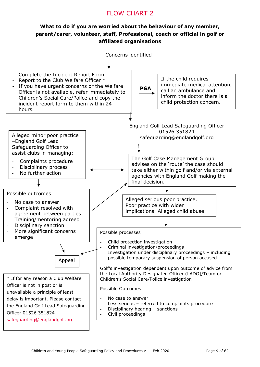# FLOW CHART 2

#### **What to do if you are worried about the behaviour of any member, parent/carer, volunteer, staff, Professional, coach or official in golf or affiliated organisations**

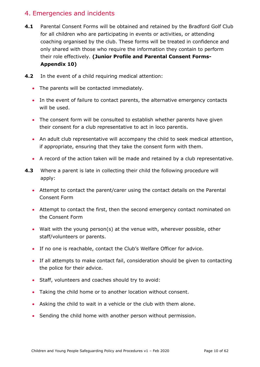# 4. Emergencies and incidents

- **4.1** Parental Consent Forms will be obtained and retained by the Bradford Golf Club for all children who are participating in events or activities, or attending coaching organised by the club. These forms will be treated in confidence and only shared with those who require the information they contain to perform their role effectively. **(Junior Profile and Parental Consent Forms-Appendix 10)**
- **4.2** In the event of a child requiring medical attention:
	- The parents will be contacted immediately.
	- In the event of failure to contact parents, the alternative emergency contacts will be used.
	- The consent form will be consulted to establish whether parents have given their consent for a club representative to act in loco parentis.
	- An adult club representative will accompany the child to seek medical attention, if appropriate, ensuring that they take the consent form with them.
	- A record of the action taken will be made and retained by a club representative.
- **4.3** Where a parent is late in collecting their child the following procedure will apply:
	- Attempt to contact the parent/carer using the contact details on the Parental Consent Form
	- Attempt to contact the first, then the second emergency contact nominated on the Consent Form
	- Wait with the young person(s) at the venue with, wherever possible, other staff/volunteers or parents.
	- If no one is reachable, contact the Club's Welfare Officer for advice.
	- If all attempts to make contact fail, consideration should be given to contacting the police for their advice.
	- Staff, volunteers and coaches should try to avoid:
	- Taking the child home or to another location without consent.
	- Asking the child to wait in a vehicle or the club with them alone.
	- Sending the child home with another person without permission.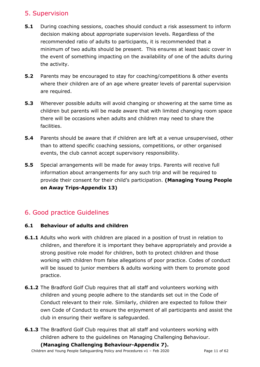# <span id="page-10-0"></span>5. Supervision

- **5.1** During coaching sessions, coaches should conduct a risk assessment to inform decision making about appropriate supervision levels. Regardless of the recommended ratio of adults to participants, it is recommended that a minimum of two adults should be present. This ensures at least basic cover in the event of something impacting on the availability of one of the adults during the activity.
- **5.2** Parents may be encouraged to stay for coaching/competitions & other events where their children are of an age where greater levels of parental supervision are required.
- **5.3** Wherever possible adults will avoid changing or showering at the same time as children but parents will be made aware that with limited changing room space there will be occasions when adults and children may need to share the facilities.
- **5.4** Parents should be aware that if children are left at a venue unsupervised, other than to attend specific coaching sessions, competitions, or other organised events, the club cannot accept supervisory responsibility.
- **5.5** Special arrangements will be made for away trips. Parents will receive full information about arrangements for any such trip and will be required to provide their consent for their child's participation. **(Managing Young People on Away Trips-Appendix 13)**

# <span id="page-10-1"></span>6. Good practice Guidelines

#### **6.1 Behaviour of adults and children**

- **6.1.1** Adults who work with children are placed in a position of trust in relation to children, and therefore it is important they behave appropriately and provide a strong positive role model for children, both to protect children and those working with children from false allegations of poor practice. Codes of conduct will be issued to junior members & adults working with them to promote good practice.
- **6.1.2** The Bradford Golf Club requires that all staff and volunteers working with children and young people adhere to the standards set out in the Code of Conduct relevant to their role. Similarly, children are expected to follow their own Code of Conduct to ensure the enjoyment of all participants and assist the club in ensuring their welfare is safeguarded.
- **6.1.3** The Bradford Golf Club requires that all staff and volunteers working with children adhere to the guidelines on Managing Challenging Behaviour.

**(Managing Challenging Behaviour-Appendix 7).**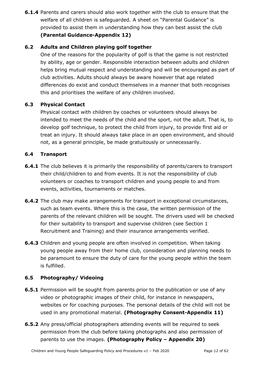**6.1.4** Parents and carers should also work together with the club to ensure that the welfare of all children is safeguarded. A sheet on "Parental Guidance" is provided to assist them in understanding how they can best assist the club **(Parental Guidance-Appendix 12)**

#### **6.2 Adults and Children playing golf together**

One of the reasons for the popularity of golf is that the game is not restricted by ability, age or gender. Responsible interaction between adults and children helps bring mutual respect and understanding and will be encouraged as part of club activities. Adults should always be aware however that age related differences do exist and conduct themselves in a manner that both recognises this and prioritises the welfare of any children involved.

#### **6.3 Physical Contact**

Physical contact with children by coaches or volunteers should always be intended to meet the needs of the child and the sport, not the adult. That is, to develop golf technique, to protect the child from injury, to provide first aid or treat an injury. It should always take place in an open environment, and should not, as a general principle, be made gratuitously or unnecessarily.

#### **6.4 Transport**

- **6.4.1** The club believes it is primarily the responsibility of parents/carers to transport their child/children to and from events. It is not the responsibility of club volunteers or coaches to transport children and young people to and from events, activities, tournaments or matches.
- **6.4.2** The club may make arrangements for transport in exceptional circumstances, such as team events. Where this is the case, the written permission of the parents of the relevant children will be sought. The drivers used will be checked for their suitability to transport and supervise children (see Section 1 Recruitment and Training) and their insurance arrangements verified.
- **6.4.3** Children and young people are often involved in competition. When taking young people away from their home club, consideration and planning needs to be paramount to ensure the duty of care for the young people within the team is fulfilled.

#### **6.5 Photography/ Videoing**

- **6.5.1** Permission will be sought from parents prior to the publication or use of any video or photographic images of their child, for instance in newspapers, websites or for coaching purposes. The personal details of the child will not be used in any promotional material. **(Photography Consent-Appendix 11)**
- **6.5.2** Any press/official photographers attending events will be required to seek permission from the club before taking photographs and also permission of parents to use the images. **(Photography Policy – Appendix 20)**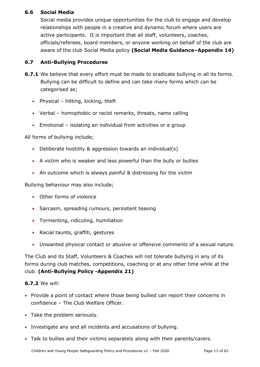#### **6.6 Social Media**

Social media provides unique opportunities for the club to engage and develop relationships with people in a creative and dynamic forum where users are active participants. It is important that all staff, volunteers, coaches, officials/referees, board members, or anyone working on behalf of the club are aware of the club Social Media policy **(Social Media Guidance–Appendix 14)**

#### **6.7 Anti-Bullying Procedures**

- **6.7.1** We believe that every effort must be made to eradicate bullying in all its forms. Bullying can be difficult to define and can take many forms which can be categorised as;
	- Physical hitting, kicking, theft
	- Verbal homophobic or racist remarks, threats, name calling
	- Emotional isolating an individual from activities or a group

All forms of bullying include;

- Deliberate hostility & aggression towards an individual(s)
- A victim who is weaker and less powerful than the bully or bullies
- An outcome which is always painful & distressing for the victim

Bullying behaviour may also include;

- Other forms of violence
- Sarcasm, spreading rumours, persistent teasing
- Tormenting, ridiculing, humiliation
- Racial taunts, graffiti, gestures
- Unwanted physical contact or abusive or offensive comments of a sexual nature.

The Club and its Staff, Volunteers & Coaches will not tolerate bullying in any of its forms during club matches, competitions, coaching or at any other time while at the club. **(Anti-Bullying Policy -Appendix 21)**

#### **6.7.2** We will:

- Provide a point of contact where those being bullied can report their concerns in confidence – The Club Welfare Officer.
- Take the problem seriously.
- Investigate any and all incidents and accusations of bullying.
- Talk to bullies and their victims separately along with their parents/carers.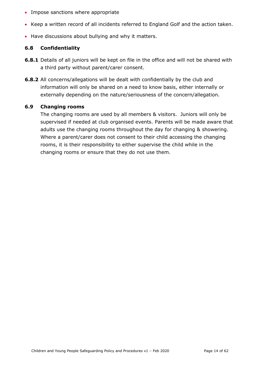- Impose sanctions where appropriate
- Keep a written record of all incidents referred to England Golf and the action taken.
- Have discussions about bullying and why it matters.

#### **6.8 Confidentiality**

- **6.8.1** Details of all juniors will be kept on file in the office and will not be shared with a third party without parent/carer consent.
- **6.8.2** All concerns/allegations will be dealt with confidentially by the club and information will only be shared on a need to know basis, either internally or externally depending on the nature/seriousness of the concern/allegation.

#### **6.9 Changing rooms**

The changing rooms are used by all members & visitors. Juniors will only be supervised if needed at club organised events. Parents will be made aware that adults use the changing rooms throughout the day for changing & showering. Where a parent/carer does not consent to their child accessing the changing rooms, it is their responsibility to either supervise the child while in the changing rooms or ensure that they do not use them.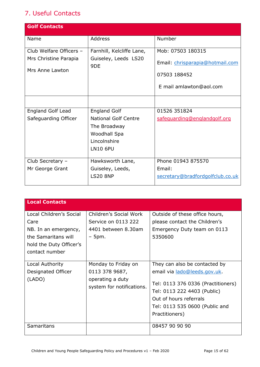# <span id="page-14-0"></span>7. Useful Contacts

| <b>Golf Contacts</b>     |                              |                                  |
|--------------------------|------------------------------|----------------------------------|
| Name                     | <b>Address</b>               | Number                           |
| Club Welfare Officers -  | Farnhill, Kelcliffe Lane,    | Mob: 07503 180315                |
| Mrs Christine Parapia    | Guiseley, Leeds LS20<br>9DE  | Email: chrisparapia@hotmail.com  |
| Mrs Anne Lawton          |                              | 07503 188452                     |
|                          |                              |                                  |
|                          |                              | E mail amlawton@aol.com          |
|                          |                              |                                  |
| <b>England Golf Lead</b> | <b>England Golf</b>          | 01526 351824                     |
| Safeguarding Officer     | <b>National Golf Centre</b>  | safequarding@englandgolf.org     |
|                          | The Broadway                 |                                  |
|                          | Woodhall Spa<br>Lincolnshire |                                  |
|                          | <b>LN10 6PU</b>              |                                  |
|                          |                              |                                  |
| Club Secretary -         | Hawksworth Lane,             | Phone 01943 875570               |
| Mr George Grant          | Guiseley, Leeds,             | Email:                           |
|                          | <b>LS20 8NP</b>              | secretary@bradfordgolfclub.co.uk |
|                          |                              |                                  |

| <b>Local Contacts</b>                                                                                                       |                                                                                        |                                                                                                                                                                                                                  |
|-----------------------------------------------------------------------------------------------------------------------------|----------------------------------------------------------------------------------------|------------------------------------------------------------------------------------------------------------------------------------------------------------------------------------------------------------------|
| Local Children's Social<br>Care<br>NB. In an emergency,<br>the Samaritans will<br>hold the Duty Officer's<br>contact number | Children's Social Work<br>Service on 0113 222<br>4401 between 8.30am<br>$-5$ pm.       | Outside of these office hours,<br>please contact the Children's<br>Emergency Duty team on 0113<br>5350600                                                                                                        |
| Local Authority<br>Designated Officer<br>(LADO)                                                                             | Monday to Friday on<br>0113 378 9687,<br>operating a duty<br>system for notifications. | They can also be contacted by<br>email via lado@leeds.gov.uk.<br>Tel: 0113 376 0336 (Practitioners)<br>Tel: 0113 222 4403 (Public)<br>Out of hours referrals<br>Tel: 0113 535 0600 (Public and<br>Practitioners) |
| Samaritans                                                                                                                  |                                                                                        | 08457 90 90 90                                                                                                                                                                                                   |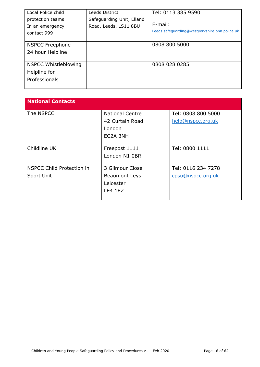| Local Police child          | Leeds District            | Tel: 0113 385 9590                             |
|-----------------------------|---------------------------|------------------------------------------------|
| protection teams            | Safeguarding Unit, Elland |                                                |
| In an emergency             | Road, Leeds, LS11 8BU     | $E$ -mail:                                     |
| contact 999                 |                           | Leeds.safequarding@westyorkshire.pnn.police.uk |
|                             |                           |                                                |
| <b>NSPCC Freephone</b>      |                           | 0808 800 5000                                  |
| 24 hour Helpline            |                           |                                                |
|                             |                           |                                                |
| <b>NSPCC Whistleblowing</b> |                           | 0808 028 0285                                  |
| Helpline for                |                           |                                                |
| Professionals               |                           |                                                |
|                             |                           |                                                |

| <b>National Contacts</b>  |                        |                    |
|---------------------------|------------------------|--------------------|
| The NSPCC                 | <b>National Centre</b> | Tel: 0808 800 5000 |
|                           | 42 Curtain Road        | help@nspcc.org.uk  |
|                           | London                 |                    |
|                           | EC2A 3NH               |                    |
|                           |                        |                    |
| Childline UK              | Freepost 1111          | Tel: 0800 1111     |
|                           | London N1 0BR          |                    |
|                           |                        |                    |
| NSPCC Child Protection in | 3 Gilmour Close        | Tel: 0116 234 7278 |
| Sport Unit                | <b>Beaumont Leys</b>   | cpsu@nspcc.org.uk  |
|                           | Leicester              |                    |
|                           | LE4 1EZ                |                    |
|                           |                        |                    |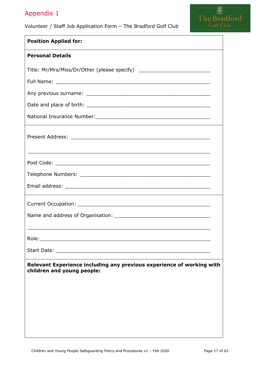#### <span id="page-16-0"></span>Volunteer / Staff Job Application Form – The Bradford Golf Club

| I he Bradtord |
|---------------|
| Golf Club     |

| <b>Position Applied for:</b>                                                                                   |  |
|----------------------------------------------------------------------------------------------------------------|--|
| <b>Personal Details</b>                                                                                        |  |
| Title: Mr/Mrs/Miss/Dr/Other (please specify) ___________________________________                               |  |
|                                                                                                                |  |
|                                                                                                                |  |
|                                                                                                                |  |
|                                                                                                                |  |
|                                                                                                                |  |
|                                                                                                                |  |
|                                                                                                                |  |
|                                                                                                                |  |
|                                                                                                                |  |
| <u> 1989 - Johann Stoff, amerikansk politiker (d. 1989)</u>                                                    |  |
| Role: The Commission of the Commission of the Commission of the Commission of the Commission of the Commission |  |
|                                                                                                                |  |
| Relevant Experience including any previous experience of working with<br>children and young people:            |  |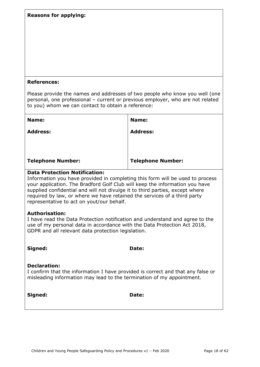| <b>Reasons for applying:</b>                                                                                                                                                                                                                                                                                                                                                                                  |                          |  |
|---------------------------------------------------------------------------------------------------------------------------------------------------------------------------------------------------------------------------------------------------------------------------------------------------------------------------------------------------------------------------------------------------------------|--------------------------|--|
|                                                                                                                                                                                                                                                                                                                                                                                                               |                          |  |
| <b>References:</b>                                                                                                                                                                                                                                                                                                                                                                                            |                          |  |
| Please provide the names and addresses of two people who know you well (one<br>personal, one professional - current or previous employer, who are not related<br>to you) whom we can contact to obtain a reference:                                                                                                                                                                                           |                          |  |
| Name:                                                                                                                                                                                                                                                                                                                                                                                                         | Name:                    |  |
| <b>Address:</b>                                                                                                                                                                                                                                                                                                                                                                                               | <b>Address:</b>          |  |
| <b>Telephone Number:</b>                                                                                                                                                                                                                                                                                                                                                                                      | <b>Telephone Number:</b> |  |
| <b>Data Protection Notification:</b><br>Information you have provided in completing this form will be used to process<br>your application. The Bradford Golf Club will keep the information you have<br>supplied confidential and will not divulge it to third parties, except where<br>required by law, or where we have retained the services of a third party<br>representative to act on yout/our behalf. |                          |  |
| <b>Authorisation:</b><br>I have read the Data Protection notification and understand and agree to the<br>use of my personal data in accordance with the Data Protection Act 2018,<br>GDPR and all relevant data protection legislation.                                                                                                                                                                       |                          |  |
| Signed:                                                                                                                                                                                                                                                                                                                                                                                                       | Date:                    |  |
| <b>Declaration:</b><br>I confirm that the information I have provided is correct and that any false or<br>misleading information may lead to the termination of my appointment.                                                                                                                                                                                                                               |                          |  |
| Signed:                                                                                                                                                                                                                                                                                                                                                                                                       | Date:                    |  |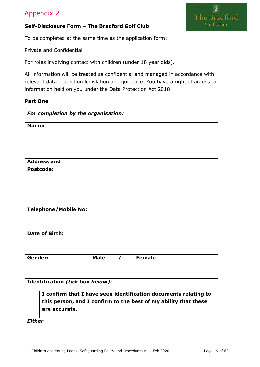

#### <span id="page-18-0"></span>**Self-Disclosure Form – The Bradford Golf Club**

To be completed at the same time as the application form:

Private and Confidential

For roles involving contact with children (under 18 year olds).

All information will be treated as confidential and managed in accordance with relevant data protection legislation and guidance. You have a right of access to information held on you under the Data Protection Act 2018.

#### **Part One**

| For completion by the organisation:                                                                                                                 |                                     |  |
|-----------------------------------------------------------------------------------------------------------------------------------------------------|-------------------------------------|--|
| Name:                                                                                                                                               |                                     |  |
| <b>Address and</b><br><b>Postcode:</b>                                                                                                              |                                     |  |
|                                                                                                                                                     |                                     |  |
| <b>Telephone/Mobile No:</b>                                                                                                                         |                                     |  |
| Date of Birth:                                                                                                                                      |                                     |  |
| Gender:                                                                                                                                             | Female<br><b>Male</b><br>$\sqrt{2}$ |  |
| Identification (tick box below):                                                                                                                    |                                     |  |
| I confirm that I have seen identification documents relating to<br>this person, and I confirm to the best of my ability that these<br>are accurate. |                                     |  |
| <b>Either</b>                                                                                                                                       |                                     |  |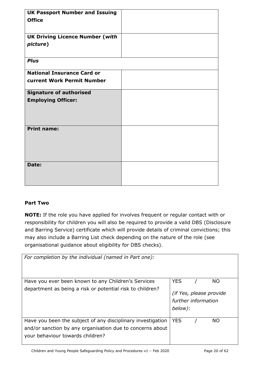| <b>UK Passport Number and Issuing</b>  |  |
|----------------------------------------|--|
| <b>Office</b>                          |  |
|                                        |  |
|                                        |  |
| <b>UK Driving Licence Number (with</b> |  |
|                                        |  |
| picture)                               |  |
|                                        |  |
|                                        |  |
| <b>Plus</b>                            |  |
|                                        |  |
| <b>National Insurance Card or</b>      |  |
| current Work Permit Number             |  |
|                                        |  |
| <b>Signature of authorised</b>         |  |
| <b>Employing Officer:</b>              |  |
|                                        |  |
|                                        |  |
|                                        |  |
|                                        |  |
| <b>Print name:</b>                     |  |
|                                        |  |
|                                        |  |
|                                        |  |
|                                        |  |
|                                        |  |
| Date:                                  |  |
|                                        |  |
|                                        |  |
|                                        |  |
|                                        |  |

#### **Part Two**

**NOTE:** If the role you have applied for involves frequent or regular contact with or responsibility for children you will also be required to provide a valid DBS (Disclosure and Barring Service) certificate which will provide details of criminal convictions; this may also include a Barring List check depending on the nature of the role (see organisational guidance about eligibility for DBS checks).

| For completion by the individual (named in Part one):                                                                                                        |                                                                   |
|--------------------------------------------------------------------------------------------------------------------------------------------------------------|-------------------------------------------------------------------|
| Have you ever been known to any Children's Services                                                                                                          | <b>YES</b><br><b>NO</b>                                           |
| department as being a risk or potential risk to children?                                                                                                    | <i>(if Yes, please provide)</i><br>further information<br>below): |
| Have you been the subject of any disciplinary investigation<br>and/or sanction by any organisation due to concerns about<br>your behaviour towards children? | <b>YES</b><br><b>NO</b>                                           |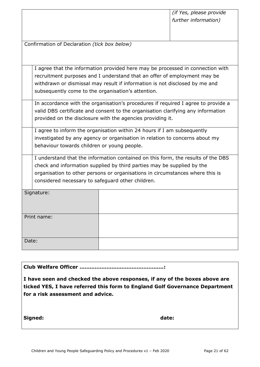Confirmation of Declaration *(tick box below)*

I agree that the information provided here may be processed in connection with recruitment purposes and I understand that an offer of employment may be withdrawn or dismissal may result if information is not disclosed by me and subsequently come to the organisation's attention.

In accordance with the organisation's procedures if required I agree to provide a valid DBS certificate and consent to the organisation clarifying any information provided on the disclosure with the agencies providing it.

I agree to inform the organisation within 24 hours if I am subsequently investigated by any agency or organisation in relation to concerns about my behaviour towards children or young people.

I understand that the information contained on this form, the results of the DBS check and information supplied by third parties may be supplied by the organisation to other persons or organisations in circumstances where this is considered necessary to safeguard other children.

| Signature:  |  |
|-------------|--|
| Print name: |  |
| Date:       |  |

**Club Welfare Officer …………………………………………..:**

**I have seen and checked the above responses, if any of the boxes above are ticked YES, I have referred this form to England Golf Governance Department for a risk assessment and advice.**

**Signed: date:**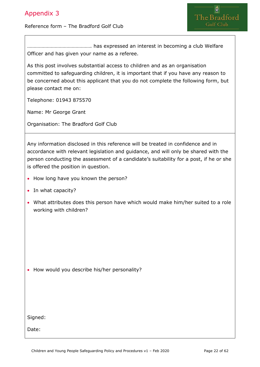#### <span id="page-21-0"></span>Reference form – The Bradford Golf Club



…………………………………………. has expressed an interest in becoming a club Welfare Officer and has given your name as a referee.

As this post involves substantial access to children and as an organisation committed to safeguarding children, it is important that if you have any reason to be concerned about this applicant that you do not complete the following form, but please contact me on:

Telephone: 01943 875570

Name: Mr George Grant

Organisation: The Bradford Golf Club

Any information disclosed in this reference will be treated in confidence and in accordance with relevant legislation and guidance, and will only be shared with the person conducting the assessment of a candidate's suitability for a post, if he or she is offered the position in question.

- How long have you known the person?
- In what capacity?
- What attributes does this person have which would make him/her suited to a role working with children?

• How would you describe his/her personality?

Signed:

Date: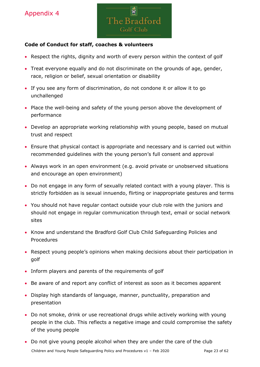

#### <span id="page-22-0"></span>**Code of Conduct for staff, coaches & volunteers**

- Respect the rights, dignity and worth of every person within the context of golf
- Treat everyone equally and do not discriminate on the grounds of age, gender, race, religion or belief, sexual orientation or disability
- If you see any form of discrimination, do not condone it or allow it to go unchallenged
- Place the well-being and safety of the young person above the development of performance
- Develop an appropriate working relationship with young people, based on mutual trust and respect
- Ensure that physical contact is appropriate and necessary and is carried out within recommended guidelines with the young person's full consent and approval
- Always work in an open environment (e.g. avoid private or unobserved situations and encourage an open environment)
- Do not engage in any form of sexually related contact with a young player. This is strictly forbidden as is sexual innuendo, flirting or inappropriate gestures and terms
- You should not have regular contact outside your club role with the juniors and should not engage in regular communication through text, email or social network sites
- Know and understand the Bradford Golf Club Child Safeguarding Policies and Procedures
- Respect young people's opinions when making decisions about their participation in golf
- Inform players and parents of the requirements of golf
- Be aware of and report any conflict of interest as soon as it becomes apparent
- Display high standards of language, manner, punctuality, preparation and presentation
- Do not smoke, drink or use recreational drugs while actively working with young people in the club. This reflects a negative image and could compromise the safety of the young people
- Children and Young People Safeguarding Policy and Procedures v1 Feb 2020 Page 23 of 62 • Do not give young people alcohol when they are under the care of the club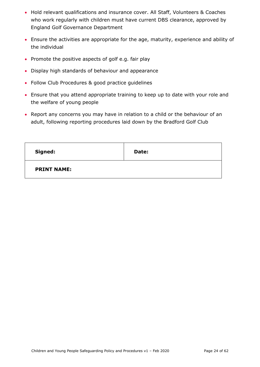- Hold relevant qualifications and insurance cover. All Staff, Volunteers & Coaches who work regularly with children must have current DBS clearance, approved by England Golf Governance Department
- Ensure the activities are appropriate for the age, maturity, experience and ability of the individual
- Promote the positive aspects of golf e.g. fair play
- Display high standards of behaviour and appearance
- Follow Club Procedures & good practice guidelines
- Ensure that you attend appropriate training to keep up to date with your role and the welfare of young people
- Report any concerns you may have in relation to a child or the behaviour of an adult, following reporting procedures laid down by the Bradford Golf Club

| Signed:            | Date: |
|--------------------|-------|
| <b>PRINT NAME:</b> |       |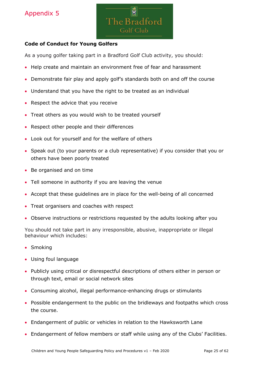

#### <span id="page-24-0"></span>**Code of Conduct for Young Golfers**

As a young golfer taking part in a Bradford Golf Club activity, you should:

- Help create and maintain an environment free of fear and harassment
- Demonstrate fair play and apply golf's standards both on and off the course
- Understand that you have the right to be treated as an individual
- Respect the advice that you receive
- Treat others as you would wish to be treated yourself
- Respect other people and their differences
- Look out for yourself and for the welfare of others
- Speak out (to your parents or a club representative) if you consider that you or others have been poorly treated
- Be organised and on time
- Tell someone in authority if you are leaving the venue
- Accept that these guidelines are in place for the well-being of all concerned
- Treat organisers and coaches with respect
- Observe instructions or restrictions requested by the adults looking after you

You should not take part in any irresponsible, abusive, inappropriate or illegal behaviour which includes:

- Smoking
- Using foul language
- Publicly using critical or disrespectful descriptions of others either in person or through text, email or social network sites
- Consuming alcohol, illegal performance-enhancing drugs or stimulants
- Possible endangerment to the public on the bridleways and footpaths which cross the course.
- Endangerment of public or vehicles in relation to the Hawksworth Lane
- Endangerment of fellow members or staff while using any of the Clubs' Facilities.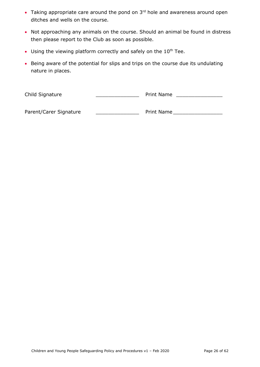- Taking appropriate care around the pond on  $3<sup>rd</sup>$  hole and awareness around open ditches and wells on the course.
- Not approaching any animals on the course. Should an animal be found in distress then please report to the Club as soon as possible.
- Using the viewing platform correctly and safely on the  $10<sup>th</sup>$  Tee.
- Being aware of the potential for slips and trips on the course due its undulating nature in places.

Child Signature **Child Signature Child Signature Print Name \_\_\_\_\_\_\_\_\_** 

Parent/Carer Signature \_\_\_\_\_\_\_\_\_\_\_\_\_\_\_\_\_\_\_\_\_\_\_\_\_\_ Print Name \_\_\_\_\_\_\_\_\_\_\_\_\_\_\_\_\_\_\_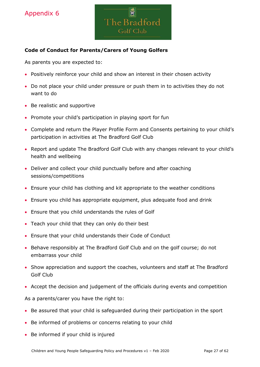

#### <span id="page-26-0"></span>**Code of Conduct for Parents/Carers of Young Golfers**

As parents you are expected to:

- Positively reinforce your child and show an interest in their chosen activity
- Do not place your child under pressure or push them in to activities they do not want to do
- Be realistic and supportive
- Promote your child's participation in playing sport for fun
- Complete and return the Player Profile Form and Consents pertaining to your child's participation in activities at The Bradford Golf Club
- Report and update The Bradford Golf Club with any changes relevant to your child's health and wellbeing
- Deliver and collect your child punctually before and after coaching sessions/competitions
- Ensure your child has clothing and kit appropriate to the weather conditions
- Ensure you child has appropriate equipment, plus adequate food and drink
- Ensure that you child understands the rules of Golf
- Teach your child that they can only do their best
- Ensure that your child understands their Code of Conduct
- Behave responsibly at The Bradford Golf Club and on the golf course; do not embarrass your child
- Show appreciation and support the coaches, volunteers and staff at The Bradford Golf Club
- Accept the decision and judgement of the officials during events and competition

As a parents/carer you have the right to:

- Be assured that your child is safeguarded during their participation in the sport
- Be informed of problems or concerns relating to your child
- Be informed if your child is injured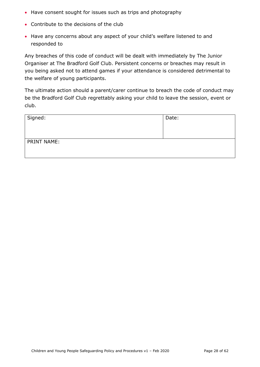- Have consent sought for issues such as trips and photography
- Contribute to the decisions of the club
- Have any concerns about any aspect of your child's welfare listened to and responded to

Any breaches of this code of conduct will be dealt with immediately by The Junior Organiser at The Bradford Golf Club. Persistent concerns or breaches may result in you being asked not to attend games if your attendance is considered detrimental to the welfare of young participants.

The ultimate action should a parent/carer continue to breach the code of conduct may be the Bradford Golf Club regrettably asking your child to leave the session, event or club.

| Signed:     | Date: |
|-------------|-------|
| PRINT NAME: |       |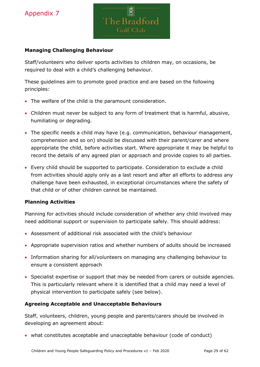

#### **Managing Challenging Behaviour**

Staff/volunteers who deliver sports activities to children may, on occasions, be required to deal with a child's challenging behaviour.

These guidelines aim to promote good practice and are based on the following principles:

- The welfare of the child is the paramount consideration.
- Children must never be subject to any form of treatment that is harmful, abusive, humiliating or degrading.
- The specific needs a child may have (e.g. communication, behaviour management, comprehension and so on) should be discussed with their parent/carer and where appropriate the child, before activities start. Where appropriate it may be helpful to record the details of any agreed plan or approach and provide copies to all parties.
- Every child should be supported to participate. Consideration to exclude a child from activities should apply only as a last resort and after all efforts to address any challenge have been exhausted, in exceptional circumstances where the safety of that child or of other children cannot be maintained.

#### **Planning Activities**

Planning for activities should include consideration of whether any child involved may need additional support or supervision to participate safely. This should address:

- Assessment of additional risk associated with the child's behaviour
- Appropriate supervision ratios and whether numbers of adults should be increased
- Information sharing for all/volunteers on managing any challenging behaviour to ensure a consistent approach
- Specialist expertise or support that may be needed from carers or outside agencies. This is particularly relevant where it is identified that a child may need a level of physical intervention to participate safely (see below).

#### **Agreeing Acceptable and Unacceptable Behaviours**

Staff, volunteers, children, young people and parents/carers should be involved in developing an agreement about:

• what constitutes acceptable and unacceptable behaviour (code of conduct)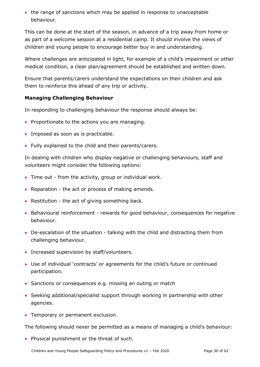• the range of sanctions which may be applied in response to unacceptable behaviour.

This can be done at the start of the season, in advance of a trip away from home or as part of a welcome session at a residential camp. It should involve the views of children and young people to encourage better buy in and understanding.

Where challenges are anticipated in light, for example of a child's impairment or other medical condition, a clear plan/agreement should be established and written down.

Ensure that parents/carers understand the expectations on their children and ask them to reinforce this ahead of any trip or activity.

#### **Managing Challenging Behaviour**

In responding to challenging behaviour the response should always be:

- Proportionate to the actions you are managing.
- Imposed as soon as is practicable.
- Fully explained to the child and their parents/carers.

In dealing with children who display negative or challenging behaviours, staff and volunteers might consider the following options:

- Time out from the activity, group or individual work.
- Reparation the act or process of making amends.
- Restitution the act of giving something back.
- Behavioural reinforcement rewards for good behaviour, consequences for negative behaviour.
- De-escalation of the situation talking with the child and distracting them from challenging behaviour.
- Increased supervision by staff/volunteers.
- Use of individual 'contracts' or agreements for the child's future or continued participation.
- Sanctions or consequences e.g. missing an outing or match
- Seeking additional/specialist support through working in partnership with other agencies.
- Temporary or permanent exclusion.

The following should never be permitted as a means of managing a child's behaviour:

• Physical punishment or the threat of such.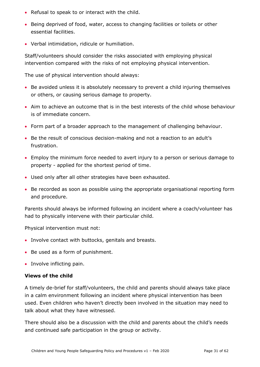- Refusal to speak to or interact with the child.
- Being deprived of food, water, access to changing facilities or toilets or other essential facilities.
- Verbal intimidation, ridicule or humiliation.

Staff/volunteers should consider the risks associated with employing physical intervention compared with the risks of not employing physical intervention.

The use of physical intervention should always:

- Be avoided unless it is absolutely necessary to prevent a child injuring themselves or others, or causing serious damage to property.
- Aim to achieve an outcome that is in the best interests of the child whose behaviour is of immediate concern.
- Form part of a broader approach to the management of challenging behaviour.
- Be the result of conscious decision-making and not a reaction to an adult's frustration.
- Employ the minimum force needed to avert injury to a person or serious damage to property - applied for the shortest period of time.
- Used only after all other strategies have been exhausted.
- Be recorded as soon as possible using the appropriate organisational reporting form and procedure.

Parents should always be informed following an incident where a coach/volunteer has had to physically intervene with their particular child.

Physical intervention must not:

- Involve contact with buttocks, genitals and breasts.
- Be used as a form of punishment.
- Involve inflicting pain.

#### **Views of the child**

A timely de-brief for staff/volunteers, the child and parents should always take place in a calm environment following an incident where physical intervention has been used. Even children who haven't directly been involved in the situation may need to talk about what they have witnessed.

There should also be a discussion with the child and parents about the child's needs and continued safe participation in the group or activity.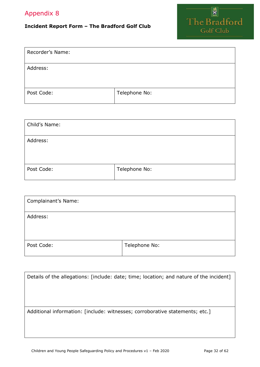# <span id="page-31-0"></span>**Incident Report Form – The Bradford Golf Club**



| Recorder's Name: |               |
|------------------|---------------|
| Address:         |               |
| Post Code:       | Telephone No: |

| Child's Name: |               |
|---------------|---------------|
| Address:      |               |
| Post Code:    | Telephone No: |

| <b>Complainant's Name:</b> |               |
|----------------------------|---------------|
| Address:                   |               |
|                            |               |
| Post Code:                 | Telephone No: |

| Details of the allegations: [include: date; time; location; and nature of the incident] |
|-----------------------------------------------------------------------------------------|
|                                                                                         |
|                                                                                         |
| Additional information: [include: witnesses; corroborative statements; etc.]            |
|                                                                                         |
|                                                                                         |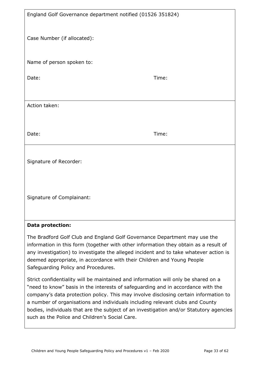| England Golf Governance department notified (01526 351824)                                                                                                                                                                                                                                                                                                                  |       |  |  |  |
|-----------------------------------------------------------------------------------------------------------------------------------------------------------------------------------------------------------------------------------------------------------------------------------------------------------------------------------------------------------------------------|-------|--|--|--|
| Case Number (if allocated):                                                                                                                                                                                                                                                                                                                                                 |       |  |  |  |
| Name of person spoken to:                                                                                                                                                                                                                                                                                                                                                   |       |  |  |  |
| Date:                                                                                                                                                                                                                                                                                                                                                                       | Time: |  |  |  |
|                                                                                                                                                                                                                                                                                                                                                                             |       |  |  |  |
| Action taken:                                                                                                                                                                                                                                                                                                                                                               |       |  |  |  |
|                                                                                                                                                                                                                                                                                                                                                                             |       |  |  |  |
| Date:                                                                                                                                                                                                                                                                                                                                                                       | Time: |  |  |  |
| Signature of Recorder:                                                                                                                                                                                                                                                                                                                                                      |       |  |  |  |
| Signature of Complainant:                                                                                                                                                                                                                                                                                                                                                   |       |  |  |  |
| <b>Data protection:</b>                                                                                                                                                                                                                                                                                                                                                     |       |  |  |  |
| The Bradford Golf Club and England Golf Governance Department may use the<br>information in this form (together with other information they obtain as a result of<br>any investigation) to investigate the alleged incident and to take whatever action is<br>deemed appropriate, in accordance with their Children and Young People<br>Safeguarding Policy and Procedures. |       |  |  |  |

<span id="page-32-0"></span>Strict confidentiality will be maintained and information will only be shared on a "need to know" basis in the interests of safeguarding and in accordance with the company's data protection policy. This may involve disclosing certain information to a number of organisations and individuals including relevant clubs and County bodies, individuals that are the subject of an investigation and/or Statutory agencies such as the Police and Children's Social Care.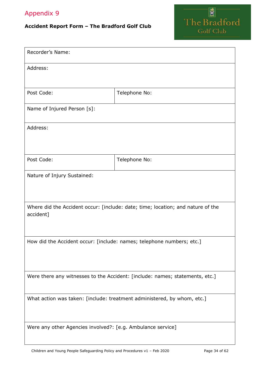# **Accident Report Form – The Bradford Golf Club**



| Recorder's Name:                                                                             |               |  |  |  |
|----------------------------------------------------------------------------------------------|---------------|--|--|--|
| Address:                                                                                     |               |  |  |  |
| Post Code:                                                                                   | Telephone No: |  |  |  |
| Name of Injured Person [s]:                                                                  |               |  |  |  |
| Address:                                                                                     |               |  |  |  |
|                                                                                              |               |  |  |  |
| Post Code:                                                                                   | Telephone No: |  |  |  |
| Nature of Injury Sustained:                                                                  |               |  |  |  |
|                                                                                              |               |  |  |  |
| Where did the Accident occur: [include: date; time; location; and nature of the<br>accident] |               |  |  |  |
| How did the Accident occur: [include: names; telephone numbers; etc.]                        |               |  |  |  |
|                                                                                              |               |  |  |  |
| Were there any witnesses to the Accident: [include: names; statements, etc.]                 |               |  |  |  |
| What action was taken: [include: treatment administered, by whom, etc.]                      |               |  |  |  |
| Were any other Agencies involved?: [e.g. Ambulance service]                                  |               |  |  |  |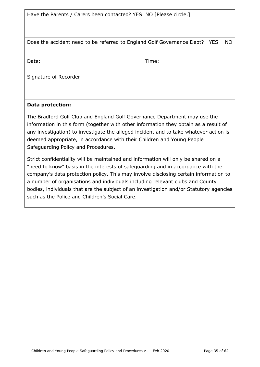Have the Parents / Carers been contacted? YES NO [Please circle.]

Does the accident need to be referred to England Golf Governance Dept? YES NO

Date: Time:

Signature of Recorder:

#### **Data protection:**

The Bradford Golf Club and England Golf Governance Department may use the information in this form (together with other information they obtain as a result of any investigation) to investigate the alleged incident and to take whatever action is deemed appropriate, in accordance with their Children and Young People Safeguarding Policy and Procedures.

Strict confidentiality will be maintained and information will only be shared on a "need to know" basis in the interests of safeguarding and in accordance with the company's data protection policy. This may involve disclosing certain information to a number of organisations and individuals including relevant clubs and County bodies, individuals that are the subject of an investigation and/or Statutory agencies such as the Police and Children's Social Care.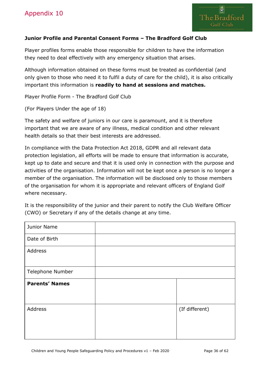#### <span id="page-35-0"></span>**Junior Profile and Parental Consent Forms – The Bradford Golf Club**

Player profiles forms enable those responsible for children to have the information they need to deal effectively with any emergency situation that arises.

Although information obtained on these forms must be treated as confidential (and only given to those who need it to fulfil a duty of care for the child), it is also critically important this information is **readily to hand at sessions and matches.**

Player Profile Form - The Bradford Golf Club

(For Players Under the age of 18)

The safety and welfare of juniors in our care is paramount, and it is therefore important that we are aware of any illness, medical condition and other relevant health details so that their best interests are addressed.

In compliance with the Data Protection Act 2018, GDPR and all relevant data protection legislation, all efforts will be made to ensure that information is accurate, kept up to date and secure and that it is used only in connection with the purpose and activities of the organisation. Information will not be kept once a person is no longer a member of the organisation. The information will be disclosed only to those members of the organisation for whom it is appropriate and relevant officers of England Golf where necessary.

| It is the responsibility of the junior and their parent to notify the Club Welfare Officer |  |  |  |  |
|--------------------------------------------------------------------------------------------|--|--|--|--|
| (CWO) or Secretary if any of the details change at any time.                               |  |  |  |  |

| Junior Name           |                |
|-----------------------|----------------|
| Date of Birth         |                |
| Address               |                |
| Telephone Number      |                |
| <b>Parents' Names</b> |                |
| Address               | (If different) |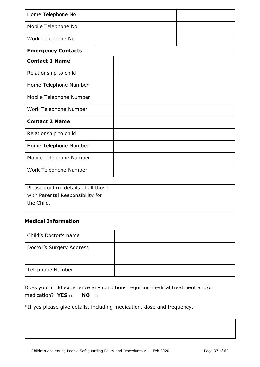| Home Telephone No         |  |  |  |  |  |
|---------------------------|--|--|--|--|--|
| Mobile Telephone No       |  |  |  |  |  |
| Work Telephone No         |  |  |  |  |  |
| <b>Emergency Contacts</b> |  |  |  |  |  |
| <b>Contact 1 Name</b>     |  |  |  |  |  |
| Relationship to child     |  |  |  |  |  |
| Home Telephone Number     |  |  |  |  |  |
| Mobile Telephone Number   |  |  |  |  |  |
| Work Telephone Number     |  |  |  |  |  |
| <b>Contact 2 Name</b>     |  |  |  |  |  |
| Relationship to child     |  |  |  |  |  |
| Home Telephone Number     |  |  |  |  |  |
| Mobile Telephone Number   |  |  |  |  |  |
| Work Telephone Number     |  |  |  |  |  |

| Please confirm details of all those |  |
|-------------------------------------|--|
| with Parental Responsibility for    |  |
| the Child.                          |  |
|                                     |  |

#### **Medical Information**

| Child's Doctor's name    |  |
|--------------------------|--|
| Doctor's Surgery Address |  |
| Telephone Number         |  |

| Does your child experience any conditions requiring medical treatment and/or |  |  |  |  |
|------------------------------------------------------------------------------|--|--|--|--|
| medication? $YES \Box$ NO $\Box$                                             |  |  |  |  |

\*If yes please give details, including medication, dose and frequency.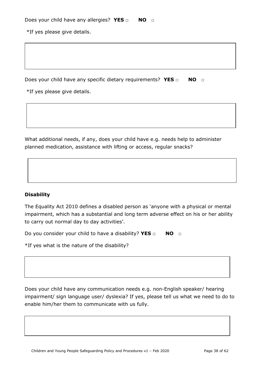\*If yes please give details.

Does your child have any specific dietary requirements? YES □ NO □

\*If yes please give details.

What additional needs, if any, does your child have e.g. needs help to administer planned medication, assistance with lifting or access, regular snacks?

#### **Disability**

The Equality Act 2010 defines a disabled person as 'anyone with a physical or mental impairment, which has a substantial and long term adverse effect on his or her ability to carry out normal day to day activities'.

Do you consider your child to have a disability? **YES □ NO □**

\*If yes what is the nature of the disability?

Does your child have any communication needs e.g. non-English speaker/ hearing impairment/ sign language user/ dyslexia? If yes, please tell us what we need to do to enable him/her them to communicate with us fully.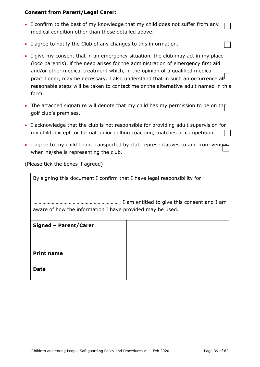#### **Consent from Parent/Legal Carer:**

- I confirm to the best of my knowledge that my child does not suffer from any medical condition other than those detailed above.
- I agree to notify the Club of any changes to this information.
- I give my consent that in an emergency situation, the club may act in my place (loco parentis), if the need arises for the administration of emergency first aid and/or other medical treatment which, in the opinion of a qualified medical practitioner, may be necessary. I also understand that in such an occurrence all reasonable steps will be taken to contact me or the alternative adult named in this form.
- The attached signature will denote that my child has my permission to be on the golf club's premises.
- I acknowledge that the club is not responsible for providing adult supervision for my child, except for formal junior golfing coaching, matches or competition.
- I agree to my child being transported by club representatives to and from venues when he/she is representing the club.

(Please tick the boxes if agreed)

| By signing this document I confirm that I have legal responsibility for |  |
|-------------------------------------------------------------------------|--|
| aware of how the information I have provided may be used.               |  |
|                                                                         |  |
| Signed - Parent/Carer                                                   |  |
|                                                                         |  |
|                                                                         |  |
| <b>Print name</b>                                                       |  |
| <b>Date</b>                                                             |  |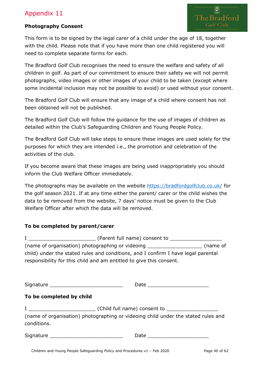#### <span id="page-39-0"></span>**Photography Consent**

The Bradford Golf Club

This form is to be signed by the legal carer of a child under the age of 18, together with the child. Please note that if you have more than one child registered you will need to complete separate forms for each.

The Bradford Golf Club recognises the need to ensure the welfare and safety of all children in golf. As part of our commitment to ensure their safety we will not permit photographs, video images or other images of your child to be taken (except where some incidental inclusion may not be possible to avoid) or used without your consent.

The Bradford Golf Club will ensure that any image of a child where consent has not been obtained will not be published.

The Bradford Golf Club will follow the guidance for the use of images of children as detailed within the Club's Safeguarding Children and Young People Policy.

The Bradford Golf Club will take steps to ensure these images are used solely for the purposes for which they are intended i.e., the promotion and celebration of the activities of the club.

If you become aware that these images are being used inappropriately you should inform the Club Welfare Officer immediately.

The photographs may be available on the website<https://bradfordgolfclub.co.uk/> for the golf season 2021. If at any time either the parent/ carer or the child wishes the data to be removed from the website, 7 days' notice must be given to the Club Welfare Officer after which the data will be removed.

#### **To be completed by parent/carer**

| (Parent full name) consent to                                                     |          |
|-----------------------------------------------------------------------------------|----------|
| (name of organisation) photographing or videoing _____                            | (name of |
| child) under the stated rules and conditions, and I confirm I have legal parental |          |
| responsibility for this child and am entitled to give this consent.               |          |

<span id="page-39-1"></span>

| Signature ________________________________ | Date __________________________                                                   |
|--------------------------------------------|-----------------------------------------------------------------------------------|
| To be completed by child                   |                                                                                   |
| conditions.                                | (name of organisation) photographing or videoing child under the stated rules and |
| Signature ________________________________ | Date ________________________                                                     |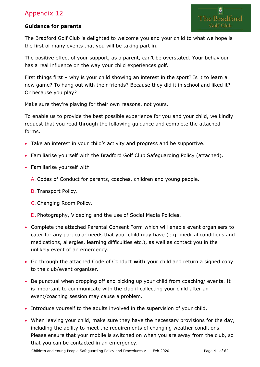#### **Guidance for parents**

The Bradford Golf Club is delighted to welcome you and your child to what we hope is the first of many events that you will be taking part in.

The positive effect of your support, as a parent, can't be overstated. Your behaviour has a real influence on the way your child experiences golf.

First things first – why is your child showing an interest in the sport? Is it to learn a new game? To hang out with their friends? Because they did it in school and liked it? Or because you play?

Make sure they're playing for their own reasons, not yours.

To enable us to provide the best possible experience for you and your child, we kindly request that you read through the following guidance and complete the attached forms.

- Take an interest in your child's activity and progress and be supportive.
- Familiarise yourself with the Bradford Golf Club Safeguarding Policy (attached).
- Familiarise yourself with
	- A. Codes of Conduct for parents, coaches, children and young people.
	- B. Transport Policy.
	- C. Changing Room Policy.

D. Photography, Videoing and the use of Social Media Policies.

- Complete the attached Parental Consent Form which will enable event organisers to cater for any particular needs that your child may have (e.g. medical conditions and medications, allergies, learning difficulties etc.), as well as contact you in the unlikely event of an emergency.
- Go through the attached Code of Conduct **with** your child and return a signed copy to the club/event organiser.
- Be punctual when dropping off and picking up your child from coaching/ events. It is important to communicate with the club if collecting your child after an event/coaching session may cause a problem.
- Introduce yourself to the adults involved in the supervision of your child.
- When leaving your child, make sure they have the necessary provisions for the day, including the ability to meet the requirements of changing weather conditions. Please ensure that your mobile is switched on when you are away from the club, so that you can be contacted in an emergency.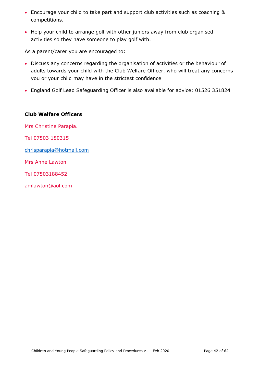- Encourage your child to take part and support club activities such as coaching & competitions.
- Help your child to arrange golf with other juniors away from club organised activities so they have someone to play golf with.

As a parent/carer you are encouraged to:

- Discuss any concerns regarding the organisation of activities or the behaviour of adults towards your child with the Club Welfare Officer, who will treat any concerns you or your child may have in the strictest confidence
- England Golf Lead Safeguarding Officer is also available for advice: 01526 351824

#### **Club Welfare Officers**

<span id="page-41-0"></span>Mrs Christine Parapia. Tel 07503 180315 [chrisparapia@hotmail.com](mailto:chrisparapia@hotmail.com) Mrs Anne Lawton Tel 07503188452 amlawton@aol.com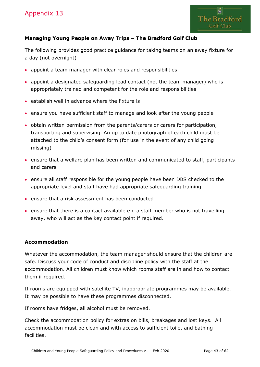

#### **Managing Young People on Away Trips – The Bradford Golf Club**

The following provides good practice guidance for taking teams on an away fixture for a day (not overnight)

- appoint a team manager with clear roles and responsibilities
- appoint a designated safeguarding lead contact (not the team manager) who is appropriately trained and competent for the role and responsibilities
- establish well in advance where the fixture is
- ensure you have sufficient staff to manage and look after the young people
- obtain written permission from the parents/carers or carers for participation, transporting and supervising. An up to date photograph of each child must be attached to the child's consent form (for use in the event of any child going missing)
- ensure that a welfare plan has been written and communicated to staff, participants and carers
- ensure all staff responsible for the young people have been DBS checked to the appropriate level and staff have had appropriate safeguarding training
- ensure that a risk assessment has been conducted
- ensure that there is a contact available e.g a staff member who is not travelling away, who will act as the key contact point if required.

#### **Accommodation**

Whatever the accommodation, the team manager should ensure that the children are safe. Discuss your code of conduct and discipline policy with the staff at the accommodation. All children must know which rooms staff are in and how to contact them if required.

If rooms are equipped with satellite TV, inappropriate programmes may be available. It may be possible to have these programmes disconnected.

If rooms have fridges, all alcohol must be removed.

Check the accommodation policy for extras on bills, breakages and lost keys. All accommodation must be clean and with access to sufficient toilet and bathing facilities.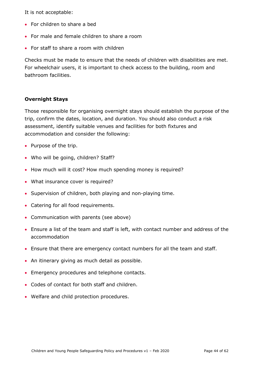It is not acceptable:

- For children to share a bed
- For male and female children to share a room
- For staff to share a room with children

Checks must be made to ensure that the needs of children with disabilities are met. For wheelchair users, it is important to check access to the building, room and bathroom facilities.

#### **Overnight Stays**

Those responsible for organising overnight stays should establish the purpose of the trip, confirm the dates, location, and duration. You should also conduct a risk assessment, identify suitable venues and facilities for both fixtures and accommodation and consider the following:

- Purpose of the trip.
- Who will be going, children? Staff?
- How much will it cost? How much spending money is required?
- What insurance cover is required?
- Supervision of children, both playing and non-playing time.
- Catering for all food requirements.
- Communication with parents (see above)
- Ensure a list of the team and staff is left, with contact number and address of the accommodation
- Ensure that there are emergency contact numbers for all the team and staff.
- An itinerary giving as much detail as possible.
- Emergency procedures and telephone contacts.
- Codes of contact for both staff and children.
- <span id="page-43-0"></span>• Welfare and child protection procedures.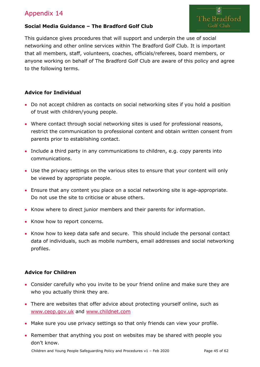

#### **Social Media Guidance – The Bradford Golf Club**

This guidance gives procedures that will support and underpin the use of social networking and other online services within The Bradford Golf Club. It is important that all members, staff, volunteers, coaches, officials/referees, board members, or anyone working on behalf of The Bradford Golf Club are aware of this policy and agree to the following terms.

#### **Advice for Individual**

- Do not accept children as contacts on social networking sites if you hold a position of trust with children/young people.
- Where contact through social networking sites is used for professional reasons, restrict the communication to professional content and obtain written consent from parents prior to establishing contact.
- Include a third party in any communications to children, e.g. copy parents into communications.
- Use the privacy settings on the various sites to ensure that your content will only be viewed by appropriate people.
- Ensure that any content you place on a social networking site is age-appropriate. Do not use the site to criticise or abuse others.
- Know where to direct junior members and their parents for information.
- Know how to report concerns.
- Know how to keep data safe and secure. This should include the personal contact data of individuals, such as mobile numbers, email addresses and social networking profiles.

#### **Advice for Children**

- Consider carefully who you invite to be your friend online and make sure they are who you actually think they are.
- There are websites that offer advice about protecting yourself online, such as [www.ceop.gov.uk](http://www.ceop.gov.uk/) and [www.childnet.com](http://www.childnet.com/)
- Make sure you use privacy settings so that only friends can view your profile.
- Remember that anything you post on websites may be shared with people you don't know.

Children and Young People Safeguarding Policy and Procedures v1 - Feb 2020 Page 45 of 62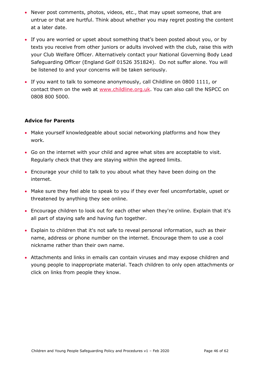- Never post comments, photos, videos, etc., that may upset someone, that are untrue or that are hurtful. Think about whether you may regret posting the content at a later date.
- If you are worried or upset about something that's been posted about you, or by texts you receive from other juniors or adults involved with the club, raise this with your Club Welfare Officer. Alternatively contact your National Governing Body Lead Safeguarding Officer (England Golf 01526 351824). Do not suffer alone. You will be listened to and your concerns will be taken seriously.
- If you want to talk to someone anonymously, call Childline on 0800 1111, or contact them on the web at [www.childline.org.uk.](http://www.childline.org.uk/) You can also call the NSPCC on 0808 800 5000.

#### **Advice for Parents**

- Make yourself knowledgeable about social networking platforms and how they work.
- Go on the internet with your child and agree what sites are acceptable to visit. Regularly check that they are staying within the agreed limits.
- Encourage your child to talk to you about what they have been doing on the internet.
- Make sure they feel able to speak to you if they ever feel uncomfortable, upset or threatened by anything they see online.
- Encourage children to look out for each other when they're online. Explain that it's all part of staying safe and having fun together.
- Explain to children that it's not safe to reveal personal information, such as their name, address or phone number on the internet. Encourage them to use a cool nickname rather than their own name.
- Attachments and links in emails can contain viruses and may expose children and young people to inappropriate material. Teach children to only open attachments or click on links from people they know.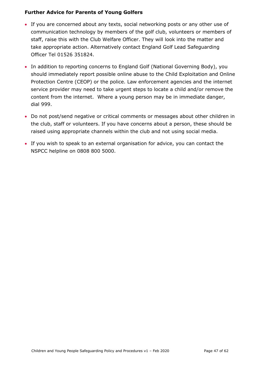#### **Further Advice for Parents of Young Golfers**

- If you are concerned about any texts, social networking posts or any other use of communication technology by members of the golf club, volunteers or members of staff, raise this with the Club Welfare Officer. They will look into the matter and take appropriate action. Alternatively contact England Golf Lead Safeguarding Officer Tel 01526 351824.
- In addition to reporting concerns to England Golf (National Governing Body), you should immediately report possible online abuse to the Child Exploitation and Online Protection Centre (CEOP) or the police. Law enforcement agencies and the internet service provider may need to take urgent steps to locate a child and/or remove the content from the internet. Where a young person may be in immediate danger, dial 999.
- Do not post/send negative or critical comments or messages about other children in the club, staff or volunteers. If you have concerns about a person, these should be raised using appropriate channels within the club and not using social media.
- <span id="page-46-0"></span>• If you wish to speak to an external organisation for advice, you can contact the NSPCC helpline on 0808 800 5000.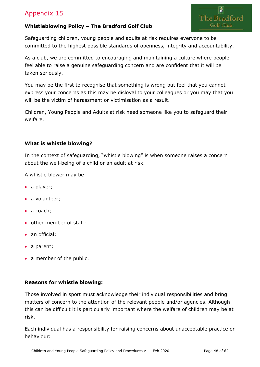

### **Whistleblowing Policy – The Bradford Golf Club**

Safeguarding children, young people and adults at risk requires everyone to be committed to the highest possible standards of openness, integrity and accountability.

As a club, we are committed to encouraging and maintaining a culture where people feel able to raise a genuine safeguarding concern and are confident that it will be taken seriously.

You may be the first to recognise that something is wrong but feel that you cannot express your concerns as this may be disloyal to your colleagues or you may that you will be the victim of harassment or victimisation as a result.

Children, Young People and Adults at risk need someone like you to safeguard their welfare.

#### **What is whistle blowing?**

In the context of safeguarding, "whistle blowing" is when someone raises a concern about the well-being of a child or an adult at risk.

A whistle blower may be:

- a player;
- a volunteer;
- a coach;
- other member of staff;
- an official;
- a parent;
- a member of the public.

#### **Reasons for whistle blowing:**

Those involved in sport must acknowledge their individual responsibilities and bring matters of concern to the attention of the relevant people and/or agencies. Although this can be difficult it is particularly important where the welfare of children may be at risk.

Each individual has a responsibility for raising concerns about unacceptable practice or behaviour: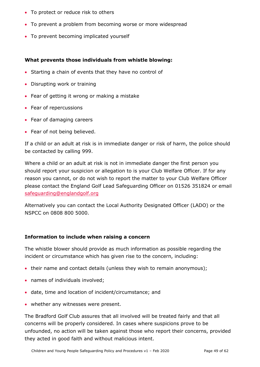- To protect or reduce risk to others
- To prevent a problem from becoming worse or more widespread
- To prevent becoming implicated yourself

#### **What prevents those individuals from whistle blowing:**

- Starting a chain of events that they have no control of
- Disrupting work or training
- Fear of getting it wrong or making a mistake
- Fear of repercussions
- Fear of damaging careers
- Fear of not being believed.

If a child or an adult at risk is in immediate danger or risk of harm, the police should be contacted by calling 999.

Where a child or an adult at risk is not in immediate danger the first person you should report your suspicion or allegation to is your Club Welfare Officer. If for any reason you cannot, or do not wish to report the matter to your Club Welfare Officer please contact the England Golf Lead Safeguarding Officer on 01526 351824 or email [safeguarding@englandgolf.org](mailto:safeguarding@englandgolf.org)

Alternatively you can contact the Local Authority Designated Officer (LADO) or the NSPCC on 0808 800 5000.

#### **Information to include when raising a concern**

The whistle blower should provide as much information as possible regarding the incident or circumstance which has given rise to the concern, including:

- their name and contact details (unless they wish to remain anonymous);
- names of individuals involved;
- date, time and location of incident/circumstance; and
- whether any witnesses were present.

The Bradford Golf Club assures that all involved will be treated fairly and that all concerns will be properly considered. In cases where suspicions prove to be unfounded, no action will be taken against those who report their concerns, provided they acted in good faith and without malicious intent.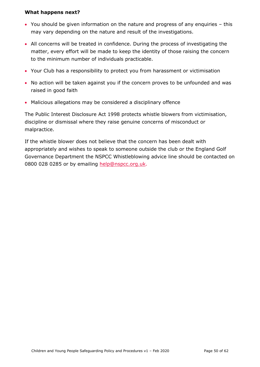#### **What happens next?**

- You should be given information on the nature and progress of any enquiries this may vary depending on the nature and result of the investigations.
- All concerns will be treated in confidence. During the process of investigating the matter, every effort will be made to keep the identity of those raising the concern to the minimum number of individuals practicable.
- Your Club has a responsibility to protect you from harassment or victimisation
- No action will be taken against you if the concern proves to be unfounded and was raised in good faith
- Malicious allegations may be considered a disciplinary offence

The Public Interest Disclosure Act 1998 protects whistle blowers from victimisation, discipline or dismissal where they raise genuine concerns of misconduct or malpractice.

If the whistle blower does not believe that the concern has been dealt with appropriately and wishes to speak to someone outside the club or the England Golf Governance Department the NSPCC Whistleblowing advice line should be contacted on 0800 028 0285 or by emailing [help@nspcc.org.uk.](mailto:help@nspcc.org.uk)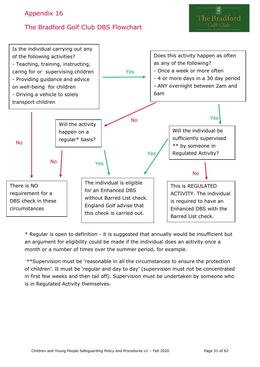# <span id="page-50-0"></span>The Bradford Golf Club DBS Flowchart



\* Regular is open to definition - it is suggested that annually would be insufficient but an argument for eligibility could be made if the individual does an activity once a month or a number of times over the summer period, for example.

\*\*Supervision must be 'reasonable in all the circumstances to ensure the protection of children'. It must be 'regular and day to day' (supervision must not be concentrated in first few weeks and then tail off). Supervision must be undertaken by someone who is in Regulated Activity themselves.

The Bradford Golf Club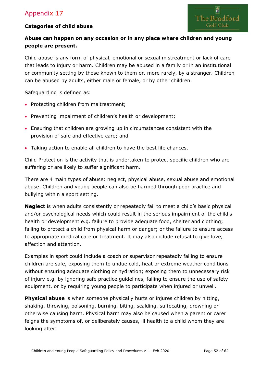#### **Categories of child abuse**



#### **Abuse can happen on any occasion or in any place where children and young people are present.**

Child abuse is any form of physical, emotional or sexual mistreatment or lack of care that leads to injury or harm. Children may be abused in a family or in an institutional or community setting by those known to them or, more rarely, by a stranger. Children can be abused by adults, either male or female, or by other children.

Safeguarding is defined as:

- Protecting children from maltreatment;
- Preventing impairment of children's health or development;
- Ensuring that children are growing up in circumstances consistent with the provision of safe and effective care; and
- Taking action to enable all children to have the best life chances.

Child Protection is the activity that is undertaken to protect specific children who are suffering or are likely to suffer significant harm.

There are 4 main types of abuse: neglect, physical abuse, sexual abuse and emotional abuse. Children and young people can also be harmed through poor practice and bullying within a sport setting.

**Neglect** is when adults consistently or repeatedly fail to meet a child's basic physical and/or psychological needs which could result in the serious impairment of the child's health or development e.g. failure to provide adequate food, shelter and clothing; failing to protect a child from physical harm or danger; or the failure to ensure access to appropriate medical care or treatment. It may also include refusal to give love, affection and attention.

Examples in sport could include a coach or supervisor repeatedly failing to ensure children are safe, exposing them to undue cold, heat or extreme weather conditions without ensuring adequate clothing or hydration; exposing them to unnecessary risk of injury e.g. by ignoring safe practice guidelines, failing to ensure the use of safety equipment, or by requiring young people to participate when injured or unwell.

**Physical abuse** is when someone physically hurts or injures children by hitting, shaking, throwing, poisoning, burning, biting, scalding, suffocating, drowning or otherwise causing harm. Physical harm may also be caused when a parent or carer feigns the symptoms of, or deliberately causes, ill health to a child whom they are looking after.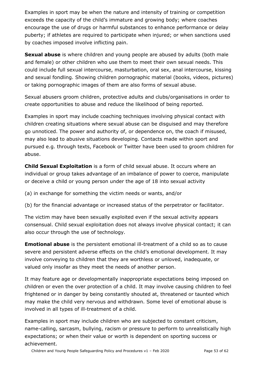Examples in sport may be when the nature and intensity of training or competition exceeds the capacity of the child's immature and growing body; where coaches encourage the use of drugs or harmful substances to enhance performance or delay puberty; if athletes are required to participate when injured; or when sanctions used by coaches imposed involve inflicting pain.

**Sexual abuse** is where children and young people are abused by adults (both male and female) or other children who use them to meet their own sexual needs. This could include full sexual intercourse, masturbation, oral sex, anal intercourse, kissing and sexual fondling. Showing children pornographic material (books, videos, pictures) or taking pornographic images of them are also forms of sexual abuse.

Sexual abusers groom children, protective adults and clubs/organisations in order to create opportunities to abuse and reduce the likelihood of being reported.

Examples in sport may include coaching techniques involving physical contact with children creating situations where sexual abuse can be disguised and may therefore go unnoticed. The power and authority of, or dependence on, the coach if misused, may also lead to abusive situations developing. Contacts made within sport and pursued e.g. through texts, Facebook or Twitter have been used to groom children for abuse.

**Child Sexual Exploitation** is a form of child sexual abuse. It occurs where an individual or group takes advantage of an imbalance of power to coerce, manipulate or deceive a child or young person under the age of 18 into sexual activity

(a) in exchange for something the victim needs or wants, and/or

(b) for the financial advantage or increased status of the perpetrator or facilitator.

The victim may have been sexually exploited even if the sexual activity appears consensual. Child sexual exploitation does not always involve physical contact; it can also occur through the use of technology.

**Emotional abuse** is the persistent emotional ill-treatment of a child so as to cause severe and persistent adverse effects on the child's emotional development. It may involve conveying to children that they are worthless or unloved, inadequate, or valued only insofar as they meet the needs of another person.

It may feature age or developmentally inappropriate expectations being imposed on children or even the over protection of a child. It may involve causing children to feel frightened or in danger by being constantly shouted at, threatened or taunted which may make the child very nervous and withdrawn. Some level of emotional abuse is involved in all types of ill-treatment of a child.

Examples in sport may include children who are subjected to constant criticism, name-calling, sarcasm, bullying, racism or pressure to perform to unrealistically high expectations; or when their value or worth is dependent on sporting success or achievement.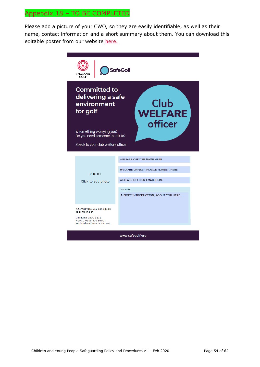# <span id="page-53-0"></span>Appendix 18 – TO BE COMPLETED

Please add a picture of your CWO, so they are easily identifiable, as well as their name, contact information and a short summary about them. You can download this editable poster from our website [here.](https://www.englandgolf.org/download/club-welfare-officer-editable-poster/)

| ENGLAND<br>GOLF                                                                                          | <b>SafeGolf</b>                      |  |  |
|----------------------------------------------------------------------------------------------------------|--------------------------------------|--|--|
| <b>Committed to</b><br>delivering a safe<br>Club<br>environment<br>for golf<br><b>WELFARE</b><br>officer |                                      |  |  |
| Is something worrying you?<br>Do you need someone to talk to?                                            |                                      |  |  |
| Speak to your club welfare officer                                                                       |                                      |  |  |
|                                                                                                          |                                      |  |  |
|                                                                                                          | <b>WELFARE OFFICER NAME HERE</b>     |  |  |
| <b>PHOTO</b>                                                                                             | WELFARE OFFICER MOBILE NUMBER HERE   |  |  |
| Click to add photo                                                                                       | <b>WELFARE OFFICER EMAIL HERE</b>    |  |  |
|                                                                                                          | <b>ABOUT ME</b>                      |  |  |
|                                                                                                          | A BRIEF INTRODUCTION, ABOUT YOU HERE |  |  |
|                                                                                                          |                                      |  |  |
| Alternatively, you can speak<br>to someone at                                                            |                                      |  |  |
| ChildLine 0800 1111<br>NSPCC 0808 800 5000                                                               |                                      |  |  |
| England Golf 01526 351851                                                                                |                                      |  |  |
|                                                                                                          | www.safegolf.org                     |  |  |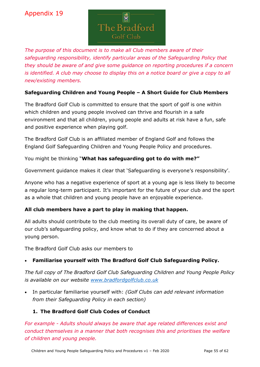

<span id="page-54-0"></span>*The purpose of this document is to make all Club members aware of their safeguarding responsibility, identify particular areas of the Safeguarding Policy that they should be aware of and give some guidance on reporting procedures if a concern is identified. A club may choose to display this on a notice board or give a copy to all new/existing members.* 

#### **Safeguarding Children and Young People – A Short Guide for Club Members**

The Bradford Golf Club is committed to ensure that the sport of golf is one within which children and young people involved can thrive and flourish in a safe environment and that all children, young people and adults at risk have a fun, safe and positive experience when playing golf.

The Bradford Golf Club is an affiliated member of England Golf and follows the England Golf Safeguarding Children and Young People Policy and procedures.

You might be thinking "**What has safeguarding got to do with me?"**

Government guidance makes it clear that 'Safeguarding is everyone's responsibility'.

Anyone who has a negative experience of sport at a young age is less likely to become a regular long-term participant. It's important for the future of your club and the sport as a whole that children and young people have an enjoyable experience.

#### **All club members have a part to play in making that happen.**

All adults should contribute to the club meeting its overall duty of care, be aware of our club's safeguarding policy, and know what to do if they are concerned about a young person.

The Bradford Golf Club asks our members to

#### • **Familiarise yourself with The Bradford Golf Club Safeguarding Policy.**

*The full copy of The Bradford Golf Club Safeguarding Children and Young People Policy is available on our website www.bradfordgolfclub.co.uk* 

• In particular familiarise yourself with: *(Golf Clubs can add relevant information from their Safeguarding Policy in each section)*

#### **1. The Bradford Golf Club Codes of Conduct**

*For example - Adults should always be aware that age related differences exist and conduct themselves in a manner that both recognises this and prioritises the welfare of children and young people.*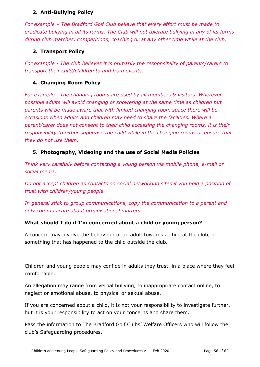#### **2. Anti-Bullying Policy**

*For example – The Bradford Golf Club believe that every effort must be made to eradicate bullying in all its forms. The Club will not tolerate bullying in any of its forms during club matches, competitions, coaching or at any other time while at the club.*

#### **3. Transport Policy**

*For example - The club believes it is primarily the responsibility of parents/carers to transport their child/children to and from events.*

#### **4. Changing Room Policy**

*For example - The changing rooms are used by all members & visitors. Wherever possible adults will avoid changing or showering at the same time as children but parents will be made aware that with limited changing room space there will be occasions when adults and children may need to share the facilities. Where a parent/carer does not consent to their child accessing the changing rooms, it is their responsibility to either supervise the child while in the changing rooms or ensure that they do not use them.* 

#### **5. Photography, Videoing and the use of Social Media Policies**

*Think very carefully before contacting a young person via mobile phone, e-mail or social media.* 

*Do not accept children as contacts on social networking sites if you hold a position of trust with children/young people.*

*In general stick to group communications, copy the communication to a parent and only communicate about organisational matters.*

#### **What should I do if I'm concerned about a child or young person?**

A concern may involve the behaviour of an adult towards a child at the club, or something that has happened to the child outside the club.

Children and young people may confide in adults they trust, in a place where they feel comfortable.

An allegation may range from verbal bullying, to inappropriate contact online, to neglect or emotional abuse, to physical or sexual abuse.

If you are concerned about a child, it is not your responsibility to investigate further, but it is your responsibility to act on your concerns and share them.

Pass the information to The Bradford Golf Clubs' Welfare Officers who will follow the club's Safeguarding procedures.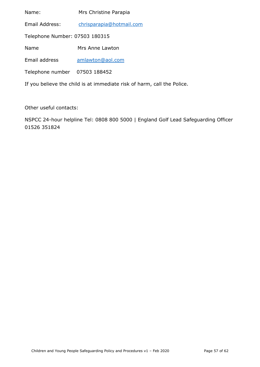Name: Mrs Christine Parapia Email Address: [chrisparapia@hotmail.com](mailto:chrisparapia@hotmail.com) Telephone Number: 07503 180315 Name Mrs Anne Lawton Email address [amlawton@aol.com](mailto:amlawton@aol.com) Telephone number 07503 188452

If you believe the child is at immediate risk of harm, call the Police.

Other useful contacts:

NSPCC 24-hour helpline Tel: 0808 800 5000 | England Golf Lead Safeguarding Officer 01526 351824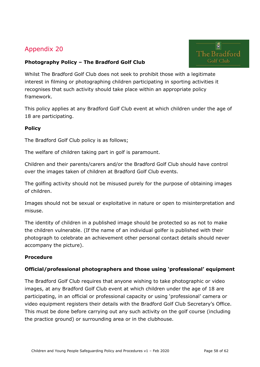<span id="page-57-0"></span>



Whilst The Bradford Golf Club does not seek to prohibit those with a legitimate interest in filming or photographing children participating in sporting activities it recognises that such activity should take place within an appropriate policy framework.

This policy applies at any Bradford Golf Club event at which children under the age of 18 are participating.

#### **Policy**

The Bradford Golf Club policy is as follows;

The welfare of children taking part in golf is paramount.

Children and their parents/carers and/or the Bradford Golf Club should have control over the images taken of children at Bradford Golf Club events.

The golfing activity should not be misused purely for the purpose of obtaining images of children.

Images should not be sexual or exploitative in nature or open to misinterpretation and misuse.

The identity of children in a published image should be protected so as not to make the children vulnerable. (If the name of an individual golfer is published with their photograph to celebrate an achievement other personal contact details should never accompany the picture).

#### **Procedure**

#### **Official/professional photographers and those using 'professional' equipment**

The Bradford Golf Club requires that anyone wishing to take photographic or video images, at any Bradford Golf Club event at which children under the age of 18 are participating, in an official or professional capacity or using 'professional' camera or video equipment registers their details with the Bradford Golf Club Secretary's Office. This must be done before carrying out any such activity on the golf course (including the practice ground) or surrounding area or in the clubhouse.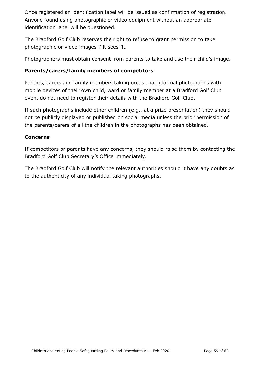Once registered an identification label will be issued as confirmation of registration. Anyone found using photographic or video equipment without an appropriate identification label will be questioned.

The Bradford Golf Club reserves the right to refuse to grant permission to take photographic or video images if it sees fit.

Photographers must obtain consent from parents to take and use their child's image.

#### **Parents/carers/family members of competitors**

Parents, carers and family members taking occasional informal photographs with mobile devices of their own child, ward or family member at a Bradford Golf Club event do not need to register their details with the Bradford Golf Club.

If such photographs include other children (e.g., at a prize presentation) they should not be publicly displayed or published on social media unless the prior permission of the parents/carers of all the children in the photographs has been obtained.

#### **Concerns**

If competitors or parents have any concerns, they should raise them by contacting the Bradford Golf Club Secretary's Office immediately.

The Bradford Golf Club will notify the relevant authorities should it have any doubts as to the authenticity of any individual taking photographs.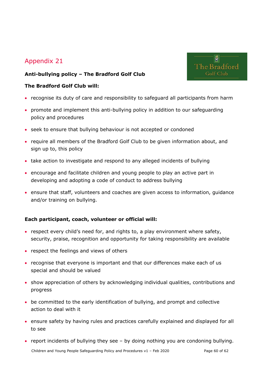#### <span id="page-59-0"></span>**Anti-bullying policy – The Bradford Golf Club**

#### **The Bradford Golf Club will:**

- recognise its duty of care and responsibility to safeguard all participants from harm
- promote and implement this anti-bullying policy in addition to our safeguarding policy and procedures
- seek to ensure that bullying behaviour is not accepted or condoned
- require all members of the Bradford Golf Club to be given information about, and sign up to, this policy
- take action to investigate and respond to any alleged incidents of bullying
- encourage and facilitate children and young people to play an active part in developing and adopting a code of conduct to address bullying
- ensure that staff, volunteers and coaches are given access to information, guidance and/or training on bullying.

#### **Each participant, coach, volunteer or official will:**

- respect every child's need for, and rights to, a play environment where safety, security, praise, recognition and opportunity for taking responsibility are available
- respect the feelings and views of others
- recognise that everyone is important and that our differences make each of us special and should be valued
- show appreciation of others by acknowledging individual qualities, contributions and progress
- be committed to the early identification of bullying, and prompt and collective action to deal with it
- ensure safety by having rules and practices carefully explained and displayed for all to see
- report incidents of bullying they see by doing nothing you are condoning bullying.

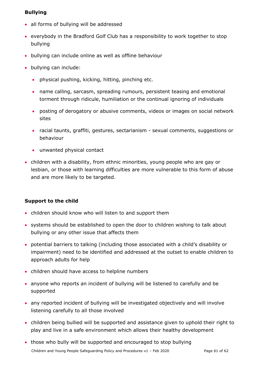#### **Bullying**

- all forms of bullying will be addressed
- everybody in the Bradford Golf Club has a responsibility to work together to stop bullying
- bullying can include online as well as offline behaviour
- bullying can include:
	- physical pushing, kicking, hitting, pinching etc.
	- name calling, sarcasm, spreading rumours, persistent teasing and emotional torment through ridicule, humiliation or the continual ignoring of individuals
	- posting of derogatory or abusive comments, videos or images on social network sites
	- racial taunts, graffiti, gestures, sectarianism sexual comments, suggestions or behaviour
	- unwanted physical contact
- children with a disability, from ethnic minorities, young people who are gay or lesbian, or those with learning difficulties are more vulnerable to this form of abuse and are more likely to be targeted.

#### **Support to the child**

- children should know who will listen to and support them
- systems should be established to open the door to children wishing to talk about bullying or any other issue that affects them
- potential barriers to talking (including those associated with a child's disability or impairment) need to be identified and addressed at the outset to enable children to approach adults for help
- children should have access to helpline numbers
- anyone who reports an incident of bullying will be listened to carefully and be supported
- any reported incident of bullying will be investigated objectively and will involve listening carefully to all those involved
- children being bullied will be supported and assistance given to uphold their right to play and live in a safe environment which allows their healthy development

Children and Young People Safeguarding Policy and Procedures v1 - Feb 2020 Page 61 of 62 • those who bully will be supported and encouraged to stop bullying